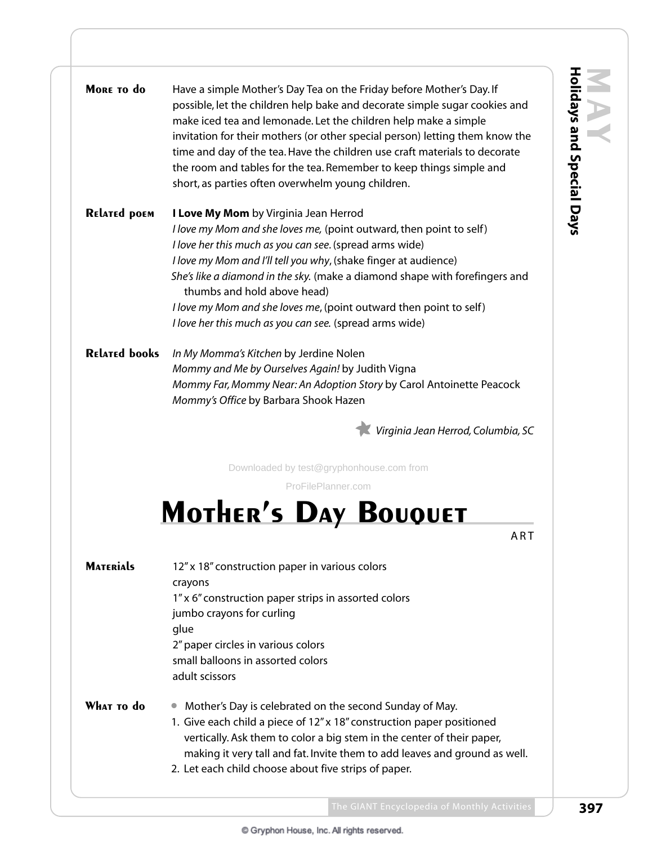| MORE TO do           | Have a simple Mother's Day Tea on the Friday before Mother's Day. If<br>possible, let the children help bake and decorate simple sugar cookies and<br>make iced tea and lemonade. Let the children help make a simple<br>invitation for their mothers (or other special person) letting them know the<br>time and day of the tea. Have the children use craft materials to decorate<br>the room and tables for the tea. Remember to keep things simple and<br>short, as parties often overwhelm young children. |
|----------------------|-----------------------------------------------------------------------------------------------------------------------------------------------------------------------------------------------------------------------------------------------------------------------------------------------------------------------------------------------------------------------------------------------------------------------------------------------------------------------------------------------------------------|
| <b>RELATED POEM</b>  | I Love My Mom by Virginia Jean Herrod<br>I love my Mom and she loves me, (point outward, then point to self)<br>I love her this much as you can see. (spread arms wide)<br>I love my Mom and I'll tell you why, (shake finger at audience)<br>She's like a diamond in the sky. (make a diamond shape with forefingers and<br>thumbs and hold above head)<br>I love my Mom and she loves me, (point outward then point to self)<br>I love her this much as you can see. (spread arms wide)                       |
| <b>RELATED books</b> | In My Momma's Kitchen by Jerdine Nolen<br>Mommy and Me by Ourselves Again! by Judith Vigna<br>Mommy Far, Mommy Near: An Adoption Story by Carol Antoinette Peacock<br>Mommy's Office by Barbara Shook Hazen<br>Virginia Jean Herrod, Columbia, SC                                                                                                                                                                                                                                                               |
|                      | Downloaded by test@gryphonhouse.com from                                                                                                                                                                                                                                                                                                                                                                                                                                                                        |
|                      | ProFilePlanner.com                                                                                                                                                                                                                                                                                                                                                                                                                                                                                              |
|                      | <b>MOTHER'S DAY BOUQUET</b>                                                                                                                                                                                                                                                                                                                                                                                                                                                                                     |
|                      | ART                                                                                                                                                                                                                                                                                                                                                                                                                                                                                                             |
| <b>MATERIALS</b>     | 12" x 18" construction paper in various colors<br>crayons<br>1" x 6" construction paper strips in assorted colors<br>jumbo crayons for curling<br>glue<br>2" paper circles in various colors<br>small balloons in assorted colors<br>adult scissors                                                                                                                                                                                                                                                             |
| WHAT TO do           | Mother's Day is celebrated on the second Sunday of May.<br>1. Give each child a piece of 12" x 18" construction paper positioned<br>vertically. Ask them to color a big stem in the center of their paper,<br>making it very tall and fat. Invite them to add leaves and ground as well.                                                                                                                                                                                                                        |

2. Let each child choose about five strips of paper.